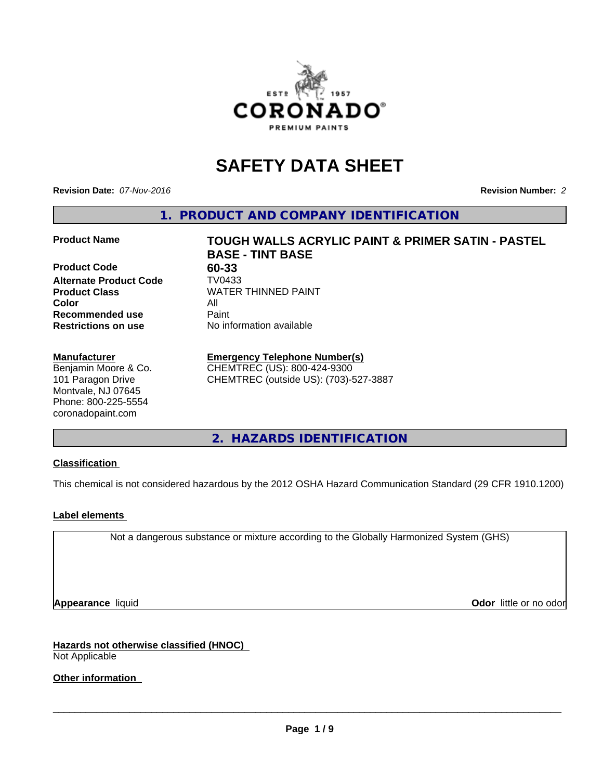

# **SAFETY DATA SHEET**

**Revision Date:** *07-Nov-2016* **Revision Number:** *2*

**1. PRODUCT AND COMPANY IDENTIFICATION**

**Product Code 60-33 Alternate Product Code TV0433**<br>**Product Class** WATER **Color** All **Recommended use** Paint<br> **Restrictions on use** No inf

#### **Manufacturer**

Benjamin Moore & Co. 101 Paragon Drive Montvale, NJ 07645 Phone: 800-225-5554 coronadopaint.com

**Product Name TOUGH WALLS ACRYLIC PAINT & PRIMER SATIN - PASTEL BASE - TINT BASE Product Class** WATER THINNED PAINT<br>
Color

**Emergency Telephone Number(s)**

**No information available** 

CHEMTREC (US): 800-424-9300 CHEMTREC (outside US): (703)-527-3887

**2. HAZARDS IDENTIFICATION**

# **Classification**

This chemical is not considered hazardous by the 2012 OSHA Hazard Communication Standard (29 CFR 1910.1200)

# **Label elements**

Not a dangerous substance or mixture according to the Globally Harmonized System (GHS)

**Appearance** liquid **Odor in the original of the original of the original of the original of the original of the original of the original of the original of the original of the original of the original of the original of t** 

**Hazards not otherwise classified (HNOC)** Not Applicable

**Other information**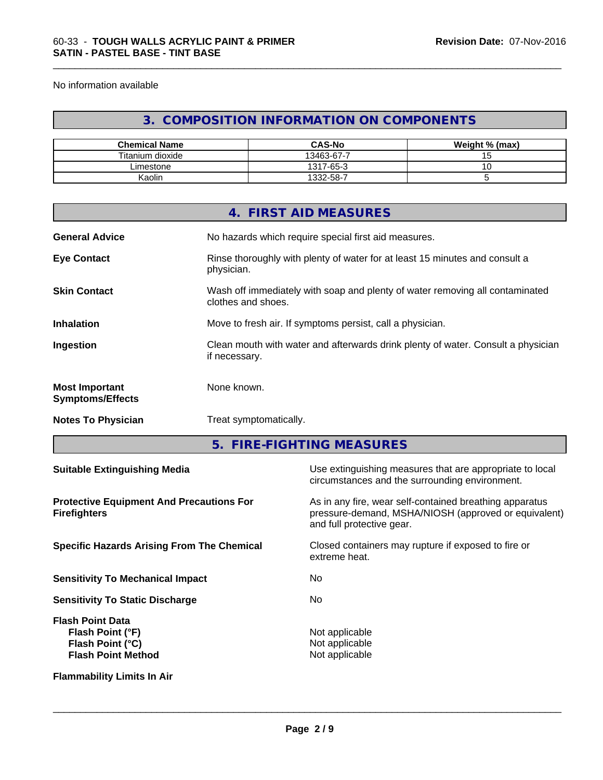No information available

# **3. COMPOSITION INFORMATION ON COMPONENTS**

\_\_\_\_\_\_\_\_\_\_\_\_\_\_\_\_\_\_\_\_\_\_\_\_\_\_\_\_\_\_\_\_\_\_\_\_\_\_\_\_\_\_\_\_\_\_\_\_\_\_\_\_\_\_\_\_\_\_\_\_\_\_\_\_\_\_\_\_\_\_\_\_\_\_\_\_\_\_\_\_\_\_\_\_\_\_\_\_\_\_\_\_\_

| <b>Chemical Name</b> | <b>CAS-No</b> | Weight % (max) |
|----------------------|---------------|----------------|
| Titanium dioxide     | 13463-67-7    |                |
| _imestone            | 1317-65-3     |                |
| Kaolin               | 332-58-7      |                |

|                                                  | 4. FIRST AID MEASURES                                                                              |
|--------------------------------------------------|----------------------------------------------------------------------------------------------------|
| <b>General Advice</b>                            | No hazards which require special first aid measures.                                               |
| <b>Eye Contact</b>                               | Rinse thoroughly with plenty of water for at least 15 minutes and consult a<br>physician.          |
| <b>Skin Contact</b>                              | Wash off immediately with soap and plenty of water removing all contaminated<br>clothes and shoes. |
| <b>Inhalation</b>                                | Move to fresh air. If symptoms persist, call a physician.                                          |
| Ingestion                                        | Clean mouth with water and afterwards drink plenty of water. Consult a physician<br>if necessary.  |
| <b>Most Important</b><br><b>Symptoms/Effects</b> | None known.                                                                                        |
| <b>Notes To Physician</b>                        | Treat symptomatically.                                                                             |

**5. FIRE-FIGHTING MEASURES**

| <b>Suitable Extinguishing Media</b>                                                          | Use extinguishing measures that are appropriate to local<br>circumstances and the surrounding environment.                                   |  |  |
|----------------------------------------------------------------------------------------------|----------------------------------------------------------------------------------------------------------------------------------------------|--|--|
| <b>Protective Equipment And Precautions For</b><br><b>Firefighters</b>                       | As in any fire, wear self-contained breathing apparatus<br>pressure-demand, MSHA/NIOSH (approved or equivalent)<br>and full protective gear. |  |  |
| <b>Specific Hazards Arising From The Chemical</b>                                            | Closed containers may rupture if exposed to fire or<br>extreme heat.                                                                         |  |  |
| <b>Sensitivity To Mechanical Impact</b>                                                      | No.                                                                                                                                          |  |  |
| <b>Sensitivity To Static Discharge</b>                                                       | No.                                                                                                                                          |  |  |
| <b>Flash Point Data</b><br>Flash Point (°F)<br>Flash Point (°C)<br><b>Flash Point Method</b> | Not applicable<br>Not applicable<br>Not applicable                                                                                           |  |  |
| <b>Flammability Limits In Air</b>                                                            |                                                                                                                                              |  |  |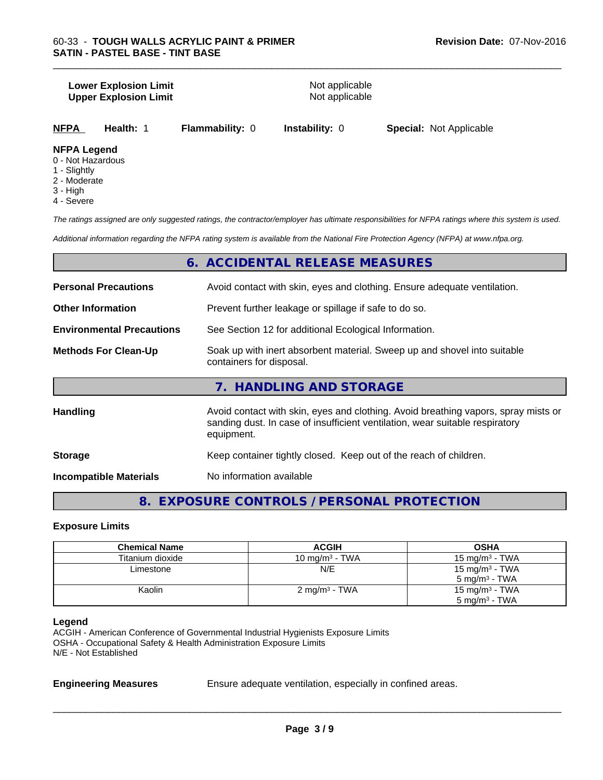#### **Lower Explosion Limit**<br> **Upper Explosion Limit**<br> **Upper Explosion Limit Upper Explosion Limit**

\_\_\_\_\_\_\_\_\_\_\_\_\_\_\_\_\_\_\_\_\_\_\_\_\_\_\_\_\_\_\_\_\_\_\_\_\_\_\_\_\_\_\_\_\_\_\_\_\_\_\_\_\_\_\_\_\_\_\_\_\_\_\_\_\_\_\_\_\_\_\_\_\_\_\_\_\_\_\_\_\_\_\_\_\_\_\_\_\_\_\_\_\_

| <b>NFPA</b> | <b>Health: 1</b> | <b>Flammability: 0</b> |
|-------------|------------------|------------------------|
|-------------|------------------|------------------------|

**Instability: 0 Special: Not Applicable** 

#### **NFPA Legend**

- 0 Not Hazardous
- 1 Slightly
- 2 Moderate
- 3 High
- 4 Severe

*The ratings assigned are only suggested ratings, the contractor/employer has ultimate responsibilities for NFPA ratings where this system is used.*

*Additional information regarding the NFPA rating system is available from the National Fire Protection Agency (NFPA) at www.nfpa.org.*

# **6. ACCIDENTAL RELEASE MEASURES**

| <b>Personal Precautions</b>      | Avoid contact with skin, eyes and clothing. Ensure adequate ventilation.                                                                                                         |  |  |
|----------------------------------|----------------------------------------------------------------------------------------------------------------------------------------------------------------------------------|--|--|
| <b>Other Information</b>         | Prevent further leakage or spillage if safe to do so.                                                                                                                            |  |  |
| <b>Environmental Precautions</b> | See Section 12 for additional Ecological Information.                                                                                                                            |  |  |
| <b>Methods For Clean-Up</b>      | Soak up with inert absorbent material. Sweep up and shovel into suitable<br>containers for disposal.                                                                             |  |  |
|                                  | 7. HANDLING AND STORAGE                                                                                                                                                          |  |  |
| <b>Handling</b>                  | Avoid contact with skin, eyes and clothing. Avoid breathing vapors, spray mists or<br>sanding dust. In case of insufficient ventilation, wear suitable respiratory<br>equipment. |  |  |

**Storage Storage Keep container tightly closed. Keep out of the reach of children.** 

**Incompatible Materials** No information available

**8. EXPOSURE CONTROLS / PERSONAL PROTECTION**

#### **Exposure Limits**

| <b>Chemical Name</b> | <b>ACGIH</b>             | <b>OSHA</b>              |
|----------------------|--------------------------|--------------------------|
| Titanium dioxide     | 10 mg/m $3$ - TWA        | 15 mg/m $3$ - TWA        |
| Limestone            | N/E                      | 15 mg/m $3$ - TWA        |
|                      |                          | $5 \text{ mg/m}^3$ - TWA |
| Kaolin               | $2 \text{ mg/m}^3$ - TWA | 15 mg/m $3$ - TWA        |
|                      |                          | $5 \text{ mg/m}^3$ - TWA |

#### **Legend**

ACGIH - American Conference of Governmental Industrial Hygienists Exposure Limits OSHA - Occupational Safety & Health Administration Exposure Limits N/E - Not Established

**Engineering Measures** Ensure adequate ventilation, especially in confined areas.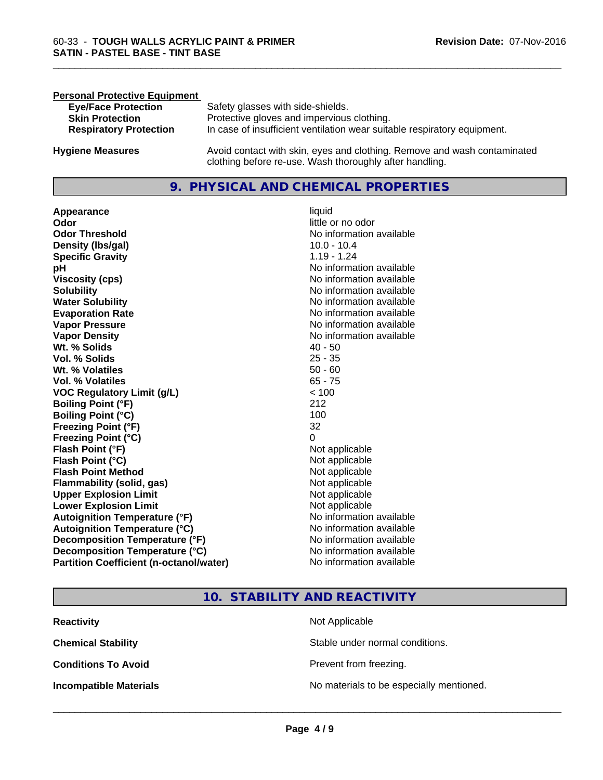| <b>Personal Protective Equipment</b> |                                                                                                                                     |
|--------------------------------------|-------------------------------------------------------------------------------------------------------------------------------------|
| <b>Eye/Face Protection</b>           | Safety glasses with side-shields.                                                                                                   |
| <b>Skin Protection</b>               | Protective gloves and impervious clothing.                                                                                          |
| <b>Respiratory Protection</b>        | In case of insufficient ventilation wear suitable respiratory equipment.                                                            |
| <b>Hygiene Measures</b>              | Avoid contact with skin, eyes and clothing. Remove and wash contaminated<br>clothing before re-use. Wash thoroughly after handling. |

# **9. PHYSICAL AND CHEMICAL PROPERTIES**

**Appearance** liquid **and a limitation of the contract of the contract of the contract of the contract of the contract of the contract of the contract of the contract of the contract of the contract of the contract of the c Odor Threshold No information available No information available Density (lbs/gal)** 10.0 - 10.4 **Specific Gravity** 1.19 - 1.24 **pH** No information available **Viscosity (cps)** No information available **Solubility Note 2008 Note 2008 Note 2008 Note 2008 Note 2008 Note 2008 Note 2008 Note 2009 Note 2009 Note 2009 Note 2009 Note 2009 Note 2009 Note 2009 Note 2009 Note 2009 Note 2009 Note Water Solubility** No information available **Evaporation Rate No information available**<br> **Vapor Pressure** Monton available Vapor Pressure **Vapor Density**<br> **We Solids**<br>
We Solids
2019<br>
2019<br>
2019<br>
2019<br>
2019<br>
2019<br>
2019<br>
2019<br>
2019<br>
2019 **Wt. % Solids** 40 - 50<br> **Vol. % Solids** 25 - 35 **Vol. % Solids Wt. % Volatiles** 50 - 60 **Vol. % Volatiles VOC Regulatory Limit (g/L)** < 100 **Boiling Point (°F)** 212 **Boiling Point (°C)** 100 **Freezing Point (°F)** 32 **Freezing Point (°C)** 0 **Flash Point (°F)** Not applicable **Flash Point (°C)**<br> **Flash Point Method**<br> **Flash Point Method**<br> **CO Flash Point Method**<br> **Flammability (solid. gas)** Not applicable<br>
Not applicable **Flammability** (solid, gas) **Upper Explosion Limit** Not applicable **Lower Explosion Limit** Not applicable **Autoignition Temperature (°F)** No information available **Autoignition Temperature (°C)** No information available **Decomposition Temperature (°F)** No information available **Decomposition Temperature (°C)** No information available **Partition Coefficient (n-octanol/water)** No information available

little or no odor **No information available** 

\_\_\_\_\_\_\_\_\_\_\_\_\_\_\_\_\_\_\_\_\_\_\_\_\_\_\_\_\_\_\_\_\_\_\_\_\_\_\_\_\_\_\_\_\_\_\_\_\_\_\_\_\_\_\_\_\_\_\_\_\_\_\_\_\_\_\_\_\_\_\_\_\_\_\_\_\_\_\_\_\_\_\_\_\_\_\_\_\_\_\_\_\_

# **10. STABILITY AND REACTIVITY**

| <b>Reactivity</b>             | Not Applicable                           |
|-------------------------------|------------------------------------------|
| <b>Chemical Stability</b>     | Stable under normal conditions.          |
| <b>Conditions To Avoid</b>    | Prevent from freezing.                   |
| <b>Incompatible Materials</b> | No materials to be especially mentioned. |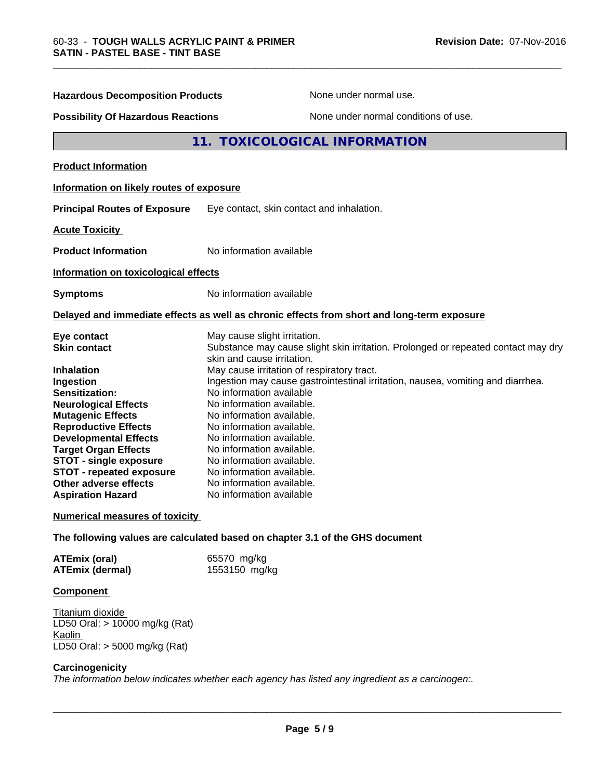| <b>Hazardous Decomposition Products</b><br>None under normal use.                                                                                                                                                                                                                                                                                                        |                                                                                                                                                                                                                                                                                                                                                                                                                                                                                                                                                                                  |  |
|--------------------------------------------------------------------------------------------------------------------------------------------------------------------------------------------------------------------------------------------------------------------------------------------------------------------------------------------------------------------------|----------------------------------------------------------------------------------------------------------------------------------------------------------------------------------------------------------------------------------------------------------------------------------------------------------------------------------------------------------------------------------------------------------------------------------------------------------------------------------------------------------------------------------------------------------------------------------|--|
| <b>Possibility Of Hazardous Reactions</b><br>None under normal conditions of use.                                                                                                                                                                                                                                                                                        |                                                                                                                                                                                                                                                                                                                                                                                                                                                                                                                                                                                  |  |
|                                                                                                                                                                                                                                                                                                                                                                          | 11. TOXICOLOGICAL INFORMATION                                                                                                                                                                                                                                                                                                                                                                                                                                                                                                                                                    |  |
| <b>Product Information</b>                                                                                                                                                                                                                                                                                                                                               |                                                                                                                                                                                                                                                                                                                                                                                                                                                                                                                                                                                  |  |
| Information on likely routes of exposure                                                                                                                                                                                                                                                                                                                                 |                                                                                                                                                                                                                                                                                                                                                                                                                                                                                                                                                                                  |  |
| <b>Principal Routes of Exposure</b>                                                                                                                                                                                                                                                                                                                                      | Eye contact, skin contact and inhalation.                                                                                                                                                                                                                                                                                                                                                                                                                                                                                                                                        |  |
| <b>Acute Toxicity</b>                                                                                                                                                                                                                                                                                                                                                    |                                                                                                                                                                                                                                                                                                                                                                                                                                                                                                                                                                                  |  |
| <b>Product Information</b>                                                                                                                                                                                                                                                                                                                                               | No information available                                                                                                                                                                                                                                                                                                                                                                                                                                                                                                                                                         |  |
| Information on toxicological effects                                                                                                                                                                                                                                                                                                                                     |                                                                                                                                                                                                                                                                                                                                                                                                                                                                                                                                                                                  |  |
| <b>Symptoms</b>                                                                                                                                                                                                                                                                                                                                                          | No information available                                                                                                                                                                                                                                                                                                                                                                                                                                                                                                                                                         |  |
|                                                                                                                                                                                                                                                                                                                                                                          | Delayed and immediate effects as well as chronic effects from short and long-term exposure                                                                                                                                                                                                                                                                                                                                                                                                                                                                                       |  |
| Eye contact<br><b>Skin contact</b><br>Inhalation<br>Ingestion<br><b>Sensitization:</b><br><b>Neurological Effects</b><br><b>Mutagenic Effects</b><br><b>Reproductive Effects</b><br><b>Developmental Effects</b><br><b>Target Organ Effects</b><br><b>STOT - single exposure</b><br><b>STOT - repeated exposure</b><br>Other adverse effects<br><b>Aspiration Hazard</b> | May cause slight irritation.<br>Substance may cause slight skin irritation. Prolonged or repeated contact may dry<br>skin and cause irritation.<br>May cause irritation of respiratory tract.<br>Ingestion may cause gastrointestinal irritation, nausea, vomiting and diarrhea.<br>No information available<br>No information available.<br>No information available.<br>No information available.<br>No information available.<br>No information available.<br>No information available.<br>No information available.<br>No information available.<br>No information available |  |
| <b>Numerical measures of toxicity</b>                                                                                                                                                                                                                                                                                                                                    |                                                                                                                                                                                                                                                                                                                                                                                                                                                                                                                                                                                  |  |
|                                                                                                                                                                                                                                                                                                                                                                          | The following values are calculated based on chapter 3.1 of the GHS document                                                                                                                                                                                                                                                                                                                                                                                                                                                                                                     |  |
| <b>ATEmix (oral)</b><br><b>ATEmix (dermal)</b>                                                                                                                                                                                                                                                                                                                           | 65570 mg/kg<br>1553150 mg/kg                                                                                                                                                                                                                                                                                                                                                                                                                                                                                                                                                     |  |

\_\_\_\_\_\_\_\_\_\_\_\_\_\_\_\_\_\_\_\_\_\_\_\_\_\_\_\_\_\_\_\_\_\_\_\_\_\_\_\_\_\_\_\_\_\_\_\_\_\_\_\_\_\_\_\_\_\_\_\_\_\_\_\_\_\_\_\_\_\_\_\_\_\_\_\_\_\_\_\_\_\_\_\_\_\_\_\_\_\_\_\_\_

# **Component**

Titanium dioxide LD50 Oral: > 10000 mg/kg (Rat) **Kaolin** LD50 Oral: > 5000 mg/kg (Rat)

# **Carcinogenicity**

*The information below indicateswhether each agency has listed any ingredient as a carcinogen:.*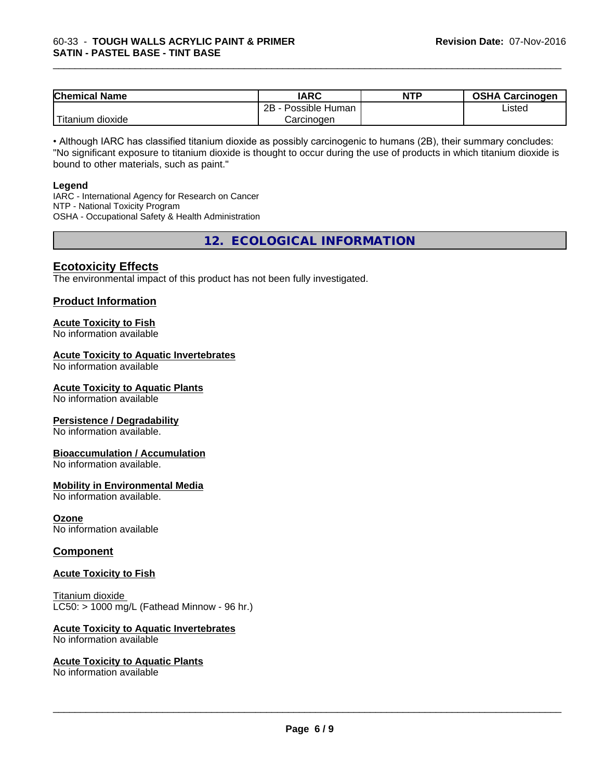| <b>Chemical Name</b>             | <b>IARC</b>          | <b>NTP</b> | <b>OSHA Carcinogen</b> |
|----------------------------------|----------------------|------------|------------------------|
|                                  | Possible Human<br>2B |            | Listed                 |
| .<br>dioxide<br><u>I</u> itanium | Carcinogen           |            |                        |

\_\_\_\_\_\_\_\_\_\_\_\_\_\_\_\_\_\_\_\_\_\_\_\_\_\_\_\_\_\_\_\_\_\_\_\_\_\_\_\_\_\_\_\_\_\_\_\_\_\_\_\_\_\_\_\_\_\_\_\_\_\_\_\_\_\_\_\_\_\_\_\_\_\_\_\_\_\_\_\_\_\_\_\_\_\_\_\_\_\_\_\_\_

• Although IARC has classified titanium dioxide as possibly carcinogenic to humans (2B), their summary concludes: "No significant exposure to titanium dioxide is thought to occur during the use of products in which titanium dioxide is bound to other materials, such as paint."

#### **Legend**

IARC - International Agency for Research on Cancer NTP - National Toxicity Program OSHA - Occupational Safety & Health Administration

**12. ECOLOGICAL INFORMATION**

# **Ecotoxicity Effects**

The environmental impact of this product has not been fully investigated.

# **Product Information**

# **Acute Toxicity to Fish**

No information available

# **Acute Toxicity to Aquatic Invertebrates**

No information available

# **Acute Toxicity to Aquatic Plants**

No information available

# **Persistence / Degradability**

No information available.

# **Bioaccumulation / Accumulation**

No information available.

# **Mobility in Environmental Media**

No information available.

# **Ozone**

No information available

# **Component**

# **Acute Toxicity to Fish**

Titanium dioxide  $LCS0: > 1000$  mg/L (Fathead Minnow - 96 hr.)

# **Acute Toxicity to Aquatic Invertebrates**

No information available

# **Acute Toxicity to Aquatic Plants**

No information available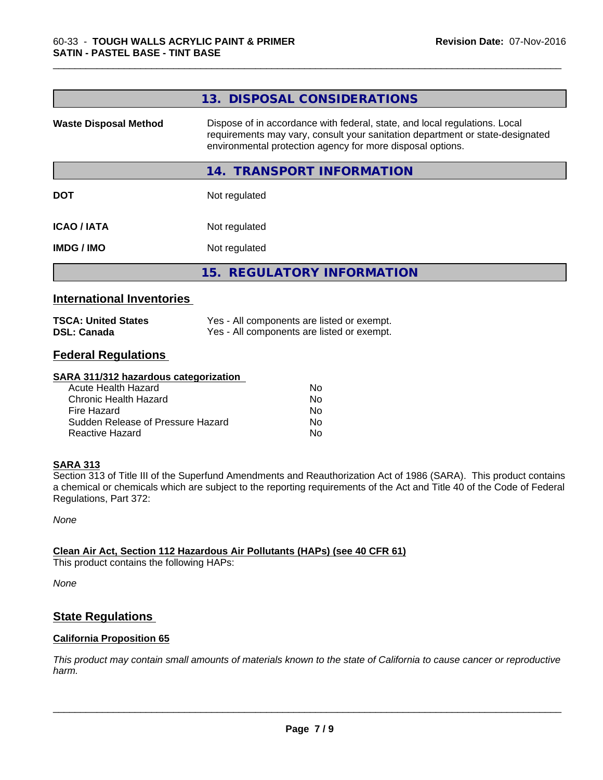|                              | 13. DISPOSAL CONSIDERATIONS                                                                                                                                                                                               |
|------------------------------|---------------------------------------------------------------------------------------------------------------------------------------------------------------------------------------------------------------------------|
| <b>Waste Disposal Method</b> | Dispose of in accordance with federal, state, and local regulations. Local<br>requirements may vary, consult your sanitation department or state-designated<br>environmental protection agency for more disposal options. |
|                              | 14. TRANSPORT INFORMATION                                                                                                                                                                                                 |
| <b>DOT</b>                   | Not regulated                                                                                                                                                                                                             |
| <b>ICAO/IATA</b>             | Not regulated                                                                                                                                                                                                             |
| <b>IMDG/IMO</b>              | Not regulated                                                                                                                                                                                                             |
|                              | 15. REGULATORY INFORMATION                                                                                                                                                                                                |
|                              |                                                                                                                                                                                                                           |

\_\_\_\_\_\_\_\_\_\_\_\_\_\_\_\_\_\_\_\_\_\_\_\_\_\_\_\_\_\_\_\_\_\_\_\_\_\_\_\_\_\_\_\_\_\_\_\_\_\_\_\_\_\_\_\_\_\_\_\_\_\_\_\_\_\_\_\_\_\_\_\_\_\_\_\_\_\_\_\_\_\_\_\_\_\_\_\_\_\_\_\_\_

# **International Inventories**

| <b>TSCA: United States</b> | Yes - All components are listed or exempt. |
|----------------------------|--------------------------------------------|
| <b>DSL: Canada</b>         | Yes - All components are listed or exempt. |

# **Federal Regulations**

#### **SARA 311/312 hazardous categorization**

| Acute Health Hazard               | No. |  |
|-----------------------------------|-----|--|
| Chronic Health Hazard             | N٥  |  |
| Fire Hazard                       | N٥  |  |
| Sudden Release of Pressure Hazard | Nο  |  |
| Reactive Hazard                   | N٥  |  |

# **SARA 313**

Section 313 of Title III of the Superfund Amendments and Reauthorization Act of 1986 (SARA). This product contains a chemical or chemicals which are subject to the reporting requirements of the Act and Title 40 of the Code of Federal Regulations, Part 372:

*None*

# **Clean Air Act,Section 112 Hazardous Air Pollutants (HAPs) (see 40 CFR 61)**

This product contains the following HAPs:

*None*

# **State Regulations**

# **California Proposition 65**

This product may contain small amounts of materials known to the state of California to cause cancer or reproductive *harm.*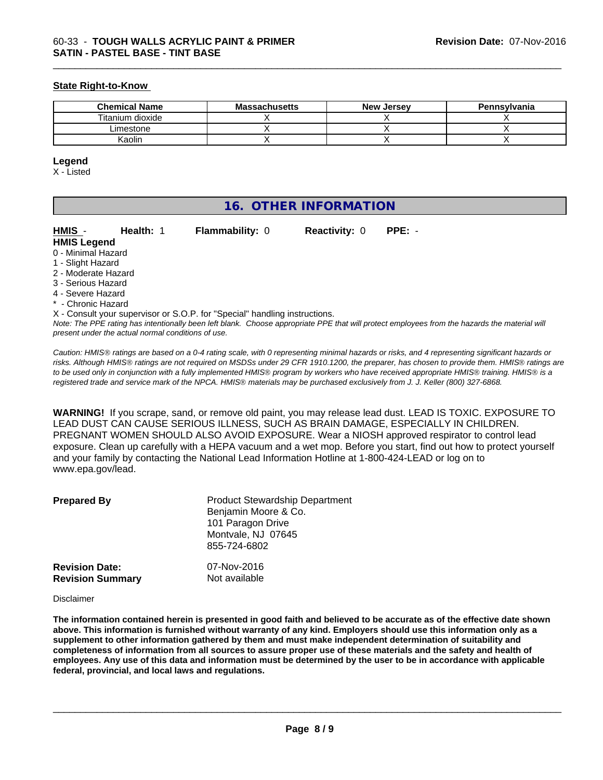# **State Right-to-Know**

| <b>Chemical Name</b> | <b>Massachusetts</b> | <b>New Jersey</b> | Pennsylvania |
|----------------------|----------------------|-------------------|--------------|
| Titanium dioxide     |                      |                   |              |
| ∟imestone            |                      |                   |              |
| Kaolin               |                      |                   |              |

\_\_\_\_\_\_\_\_\_\_\_\_\_\_\_\_\_\_\_\_\_\_\_\_\_\_\_\_\_\_\_\_\_\_\_\_\_\_\_\_\_\_\_\_\_\_\_\_\_\_\_\_\_\_\_\_\_\_\_\_\_\_\_\_\_\_\_\_\_\_\_\_\_\_\_\_\_\_\_\_\_\_\_\_\_\_\_\_\_\_\_\_\_

#### **Legend**

X - Listed

| 16. OTHER INFORMATION |
|-----------------------|
|-----------------------|

| HMIS -                   | Health: 1 | <b>Flammability: 0</b> | <b>Reactivity: 0</b> | $PPE: -$ |  |
|--------------------------|-----------|------------------------|----------------------|----------|--|
| <b>HMIS Legend</b>       |           |                        |                      |          |  |
| 0 - Minimal Hazard       |           |                        |                      |          |  |
| 1 - Slight Hazard        |           |                        |                      |          |  |
| 2 - Moderate Hazard      |           |                        |                      |          |  |
| 3 - Serious Hazard       |           |                        |                      |          |  |
| 4 - Severe Hazard        |           |                        |                      |          |  |
| * - Chronic Hazard       |           |                        |                      |          |  |
| $\cdots$ $\sim$ $\cdots$ |           |                        |                      |          |  |

*Note: The PPE rating has intentionally been left blank. Choose appropriate PPE that will protect employees from the hazards the material will present under the actual normal conditions of use.* X - Consult your supervisor or S.O.P. for "Special" handling instructions.

*Caution: HMISÒ ratings are based on a 0-4 rating scale, with 0 representing minimal hazards or risks, and 4 representing significant hazards or risks. Although HMISÒ ratings are not required on MSDSs under 29 CFR 1910.1200, the preparer, has chosen to provide them. HMISÒ ratings are to be used only in conjunction with a fully implemented HMISÒ program by workers who have received appropriate HMISÒ training. HMISÒ is a registered trade and service mark of the NPCA. HMISÒ materials may be purchased exclusively from J. J. Keller (800) 327-6868.*

**WARNING!** If you scrape, sand, or remove old paint, you may release lead dust. LEAD IS TOXIC. EXPOSURE TO LEAD DUST CAN CAUSE SERIOUS ILLNESS, SUCH AS BRAIN DAMAGE, ESPECIALLY IN CHILDREN. PREGNANT WOMEN SHOULD ALSO AVOID EXPOSURE.Wear a NIOSH approved respirator to control lead exposure. Clean up carefully with a HEPA vacuum and a wet mop. Before you start, find out how to protect yourself and your family by contacting the National Lead Information Hotline at 1-800-424-LEAD or log on to www.epa.gov/lead.

| <b>Prepared By</b>      | <b>Product Stewardship Department</b><br>Benjamin Moore & Co.<br>101 Paragon Drive<br>Montvale, NJ 07645<br>855-724-6802 |
|-------------------------|--------------------------------------------------------------------------------------------------------------------------|
| <b>Revision Date:</b>   | 07-Nov-2016                                                                                                              |
| <b>Revision Summary</b> | Not available                                                                                                            |

Disclaimer

The information contained herein is presented in good faith and believed to be accurate as of the effective date shown above. This information is furnished without warranty of any kind. Employers should use this information only as a **supplement to other information gathered by them and must make independent determination of suitability and** completeness of information from all sources to assure proper use of these materials and the safety and health of employees. Any use of this data and information must be determined by the user to be in accordance with applicable **federal, provincial, and local laws and regulations.**